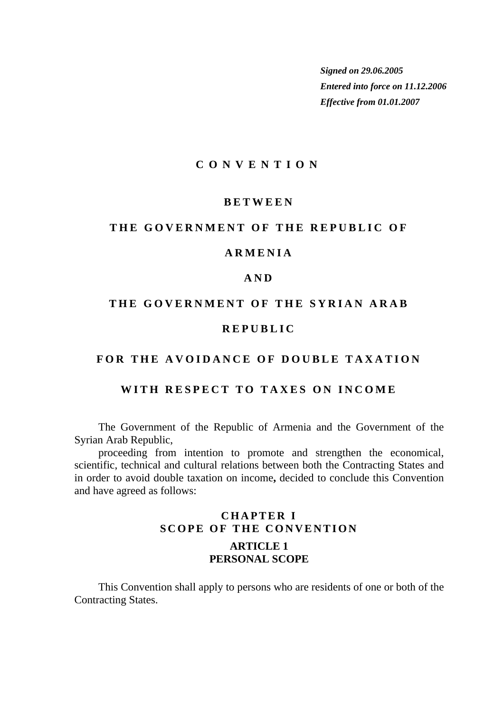*Signed on 29.06.2005 Entered into force on 11.12.2006 Effective from 01.01.2007*

## **CONVENTION**

#### **BETWEEN**

# **THE GOVERNMENT OF THE REPUBLIC OF**

#### **ARMENIA**

#### **AND**

#### **THE GOVERNMENT OF THE SYRIAN ARAB**

# **REPUBLIC**

#### **FOR THE AVOIDANCE OF DOUBLE TAXATION**

# **WITH RESPECT TO TAXES ON INCOME**

The Government of the Republic of Armenia and the Government of the Syrian Arab Republic,

proceeding from intention to promote and strengthen the economical, scientific, technical and cultural relations between both the Contracting States and in order to avoid double taxation on income**,** decided to conclude this Convention and have agreed as follows:

# **CHAPTER I SCOPE OF THE CONVENTION ARTICLE 1 PERSONAL SCOPE**

This Convention shall apply to persons who are residents of one or both of the Contracting States.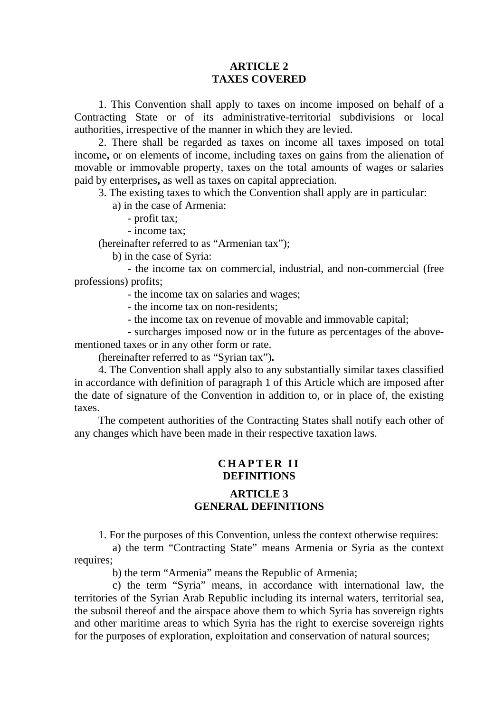#### **ARTICLE 2 TAXES COVERED**

1. This Convention shall apply to taxes on income imposed on behalf of a Contracting State or of its administrative-territorial subdivisions or local authorities, irrespective of the manner in which they are levied.

2. There shall be regarded as taxes on income all taxes imposed on total income**,** or on elements of income, including taxes on gains from the alienation of movable or immovable property, taxes on the total amounts of wages or salaries paid by enterprises**,** as well as taxes on capital appreciation.

3. The existing taxes to which the Convention shall apply are in particular:

a) in the case of Armenia:

- profit tax;

- income tax;

(hereinafter referred to as "Armenian tax");

b) in the case of Syria:

- the income tax on commercial, industrial, and non-commercial (free professions) profits;

- the income tax on salaries and wages;

- the income tax on non-residents;

- the income tax on revenue of movable and immovable capital;

- surcharges imposed now or in the future as percentages of the abovementioned taxes or in any other form or rate.

(hereinafter referred to as "Syrian tax")**.**

4. The Convention shall apply also to any substantially similar taxes classified in accordance with definition of paragraph 1 of this Article which are imposed after the date of signature of the Convention in addition to, or in place of, the existing taxes.

The competent authorities of the Contracting States shall notify each other of any changes which have been made in their respective taxation laws.

# **CHAPTER II DEFINITIONS**

#### **ARTICLE 3 GENERAL DEFINITIONS**

1. For the purposes of this Convention, unless the context otherwise requires:

a) the term "Contracting State" means Armenia or Syria as the context requires;

b) the term "Armenia" means the Republic of Armenia;

c) the term "Syria" means, in accordance with international law, the territories of the Syrian Arab Republic including its internal waters, territorial sea, the subsoil thereof and the airspace above them to which Syria has sovereign rights and other maritime areas to which Syria has the right to exercise sovereign rights for the purposes of exploration, exploitation and conservation of natural sources;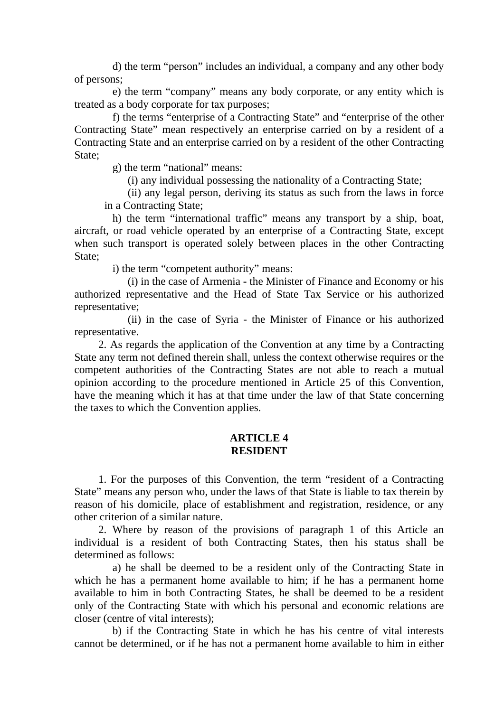d) the term "person" includes an individual, a company and any other body of persons;

e) the term "company" means any body corporate, or any entity which is treated as a body corporate for tax purposes;

f) the terms "enterprise of a Contracting State" and "enterprise of the other Contracting State" mean respectively an enterprise carried on by a resident of a Contracting State and an enterprise carried on by a resident of the other Contracting State;

g) the term "national" means:

(i) any individual possessing the nationality of a Contracting State;

(ii) any legal person, deriving its status as such from the laws in force in a Contracting State;

h) the term "international traffic" means any transport by a ship, boat, aircraft, or road vehicle operated by an enterprise of a Contracting State, except when such transport is operated solely between places in the other Contracting State;

i) the term "competent authority" means:

(i) in the case of Armenia **-** the Minister of Finance and Economy or his authorized representative and the Head of State Tax Service or his authorized representative;

(ii) in the case of Syria - the Minister of Finance or his authorized representative.

2. As regards the application of the Convention at any time by a Contracting State any term not defined therein shall, unless the context otherwise requires or the competent authorities of the Contracting States are not able to reach a mutual opinion according to the procedure mentioned in Article 25 of this Convention, have the meaning which it has at that time under the law of that State concerning the taxes to which the Convention applies.

# **ARTICLE 4 RESIDENT**

1. For the purposes of this Convention, the term "resident of a Contracting State" means any person who, under the laws of that State is liable to tax therein by reason of his domicile, place of establishment and registration, residence, or any other criterion of a similar nature.

2. Where by reason of the provisions of paragraph 1 of this Article an individual is a resident of both Contracting States, then his status shall be determined as follows:

a) he shall be deemed to be a resident only of the Contracting State in which he has a permanent home available to him; if he has a permanent home available to him in both Contracting States, he shall be deemed to be a resident only of the Contracting State with which his personal and economic relations are closer (centre of vital interests);

b) if the Contracting State in which he has his centre of vital interests cannot be determined, or if he has not a permanent home available to him in either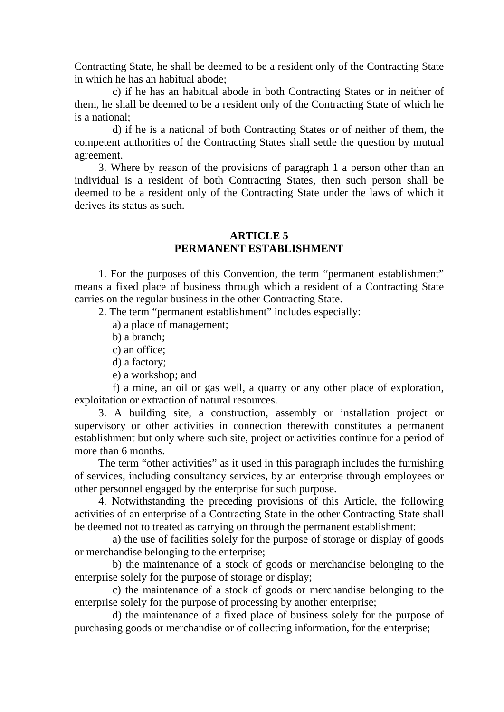Contracting State, he shall be deemed to be a resident only of the Contracting State in which he has an habitual abode;

c) if he has an habitual abode in both Contracting States or in neither of them, he shall be deemed to be a resident only of the Contracting State of which he is a national;

d) if he is a national of both Contracting States or of neither of them, the competent authorities of the Contracting States shall settle the question by mutual agreement.

3. Where by reason of the provisions of paragraph 1 a person other than an individual is a resident of both Contracting States, then such person shall be deemed to be a resident only of the Contracting State under the laws of which it derives its status as such.

## **ARTICLE 5 PERMANENT ESTABLISHMENT**

1. For the purposes of this Convention, the term "permanent establishment" means a fixed place of business through which a resident of a Contracting State carries on the regular business in the other Contracting State.

2. The term "permanent establishment" includes especially:

a) a place of management;

b) a branch;

c) an office;

d) a factory;

e) a workshop; and

f) a mine, an oil or gas well, a quarry or any other place of exploration, exploitation or extraction of natural resources.

3. A building site, a construction, assembly or installation project or supervisory or other activities in connection therewith constitutes a permanent establishment but only where such site, project or activities continue for a period of more than 6 months.

The term "other activities" as it used in this paragraph includes the furnishing of services, including consultancy services, by an enterprise through employees or other personnel engaged by the enterprise for such purpose.

4. Notwithstanding the preceding provisions of this Article, the following activities of an enterprise of a Contracting State in the other Contracting State shall be deemed not to treated as carrying on through the permanent establishment:

a) the use of facilities solely for the purpose of storage or display of goods or merchandise belonging to the enterprise;

b) the maintenance of a stock of goods or merchandise belonging to the enterprise solely for the purpose of storage or display;

c) the maintenance of a stock of goods or merchandise belonging to the enterprise solely for the purpose of processing by another enterprise;

d) the maintenance of a fixed place of business solely for the purpose of purchasing goods or merchandise or of collecting information, for the enterprise;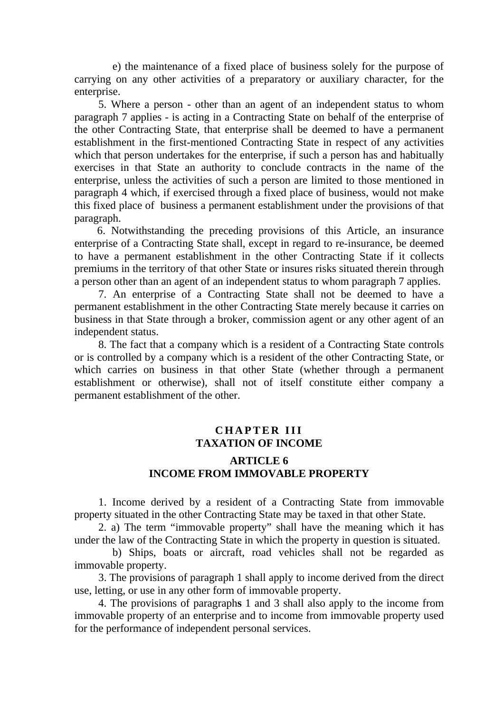e) the maintenance of a fixed place of business solely for the purpose of carrying on any other activities of a preparatory or auxiliary character, for the enterprise.

5. Where a person - other than an agent of an independent status to whom paragraph 7 applies - is acting in a Contracting State on behalf of the enterprise of the other Contracting State, that enterprise shall be deemed to have a permanent establishment in the first-mentioned Contracting State in respect of any activities which that person undertakes for the enterprise, if such a person has and habitually exercises in that State an authority to conclude contracts in the name of the enterprise, unless the activities of such a person are limited to those mentioned in paragraph 4 which, if exercised through a fixed place of business, would not make this fixed place of business a permanent establishment under the provisions of that paragraph.

6. Notwithstanding the preceding provisions of this Article, an insurance enterprise of a Contracting State shall, except in regard to re-insurance, be deemed to have a permanent establishment in the other Contracting State if it collects premiums in the territory of that other State or insures risks situated therein through a person other than an agent of an independent status to whom paragraph 7 applies.

7. An enterprise of a Contracting State shall not be deemed to have a permanent establishment in the other Contracting State merely because it carries on business in that State through a broker, commission agent or any other agent of an independent status.

8. The fact that a company which is a resident of a Contracting State controls or is controlled by a company which is a resident of the other Contracting State, or which carries on business in that other State (whether through a permanent establishment or otherwise), shall not of itself constitute either company a permanent establishment of the other.

# **CHAPTER III TAXATION OF INCOME**

# **ARTICLE 6 INCOME FROM IMMOVABLE PROPERTY**

1. Income derived by a resident of a Contracting State from immovable property situated in the other Contracting State may be taxed in that other State.

2. a) The term "immovable property" shall have the meaning which it has under the law of the Contracting State in which the property in question is situated.

b) Ships, boats or aircraft, road vehicles shall not be regarded as immovable property.

3. The provisions of paragraph 1 shall apply to income derived from the direct use, letting, or use in any other form of immovable property.

4. The provisions of paragraph**s** 1 and 3 shall also apply to the income from immovable property of an enterprise and to income from immovable property used for the performance of independent personal services.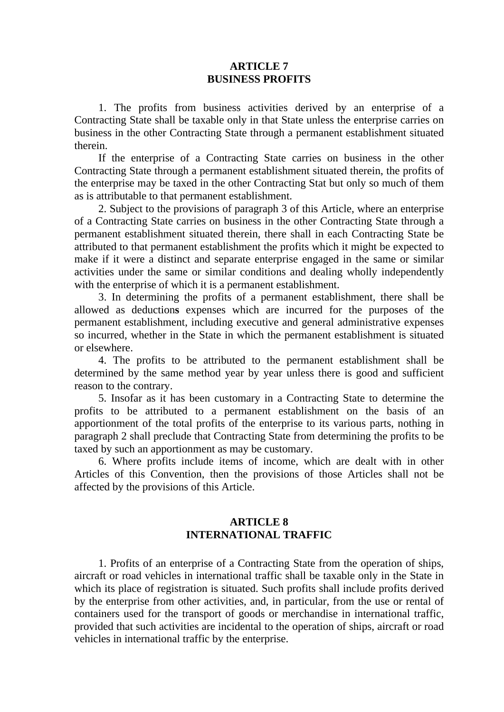#### **ARTICLE 7 BUSINESS PROFITS**

1. The profits from business activities derived by an enterprise of a Contracting State shall be taxable only in that State unless the enterprise carries on business in the other Contracting State through a permanent establishment situated therein.

If the enterprise of a Contracting State carries on business in the other Contracting State through a permanent establishment situated therein, the profits of the enterprise may be taxed in the other Contracting Stat but only so much of them as is attributable to that permanent establishment.

2. Subject to the provisions of paragraph 3 of this Article, where an enterprise of a Contracting State carries on business in the other Contracting State through a permanent establishment situated therein, there shall in each Contracting State be attributed to that permanent establishment the profits which it might be expected to make if it were a distinct and separate enterprise engaged in the same or similar activities under the same or similar conditions and dealing wholly independently with the enterprise of which it is a permanent establishment.

3. In determining the profits of a permanent establishment, there shall be allowed as deduction**s** expenses which are incurred for the purposes of the permanent establishment, including executive and general administrative expenses so incurred, whether in the State in which the permanent establishment is situated or elsewhere.

4. The profits to be attributed to the permanent establishment shall be determined by the same method year by year unless there is good and sufficient reason to the contrary.

5. Insofar as it has been customary in a Contracting State to determine the profits to be attributed to a permanent establishment on the basis of an apportionment of the total profits of the enterprise to its various parts, nothing in paragraph 2 shall preclude that Contracting State from determining the profits to be taxed by such an apportionment as may be customary.

6. Where profits include items of income, which are dealt with in other Articles of this Convention, then the provisions of those Articles shall not be affected by the provisions of this Article.

# **ARTICLE 8 INTERNATIONAL TRAFFIC**

1. Profits of an enterprise of a Contracting State from the operation of ships, aircraft or road vehicles in international traffic shall be taxable only in the State in which its place of registration is situated. Such profits shall include profits derived by the enterprise from other activities, and, in particular, from the use or rental of containers used for the transport of goods or merchandise in international traffic, provided that such activities are incidental to the operation of ships, aircraft or road vehicles in international traffic by the enterprise.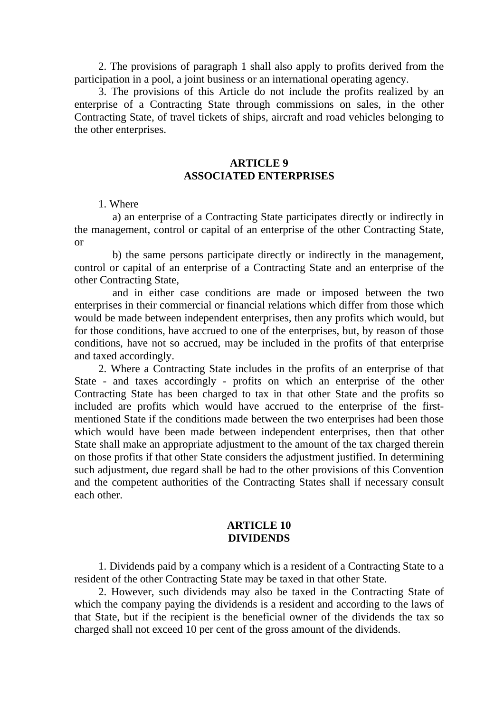2. The provisions of paragraph 1 shall also apply to profits derived from the participation in a pool, a joint business or an international operating agency.

3. The provisions of this Article do not include the profits realized by an enterprise of a Contracting State through commissions on sales, in the other Contracting State, of travel tickets of ships, aircraft and road vehicles belonging to the other enterprises.

# **ARTICLE 9 ASSOCIATED ENTERPRISES**

#### 1. Where

a) an enterprise of a Contracting State participates directly or indirectly in the management, control or capital of an enterprise of the other Contracting State, or

b) the same persons participate directly or indirectly in the management, control or capital of an enterprise of a Contracting State and an enterprise of the other Contracting State,

and in either case conditions are made or imposed between the two enterprises in their commercial or financial relations which differ from those which would be made between independent enterprises, then any profits which would, but for those conditions, have accrued to one of the enterprises, but, by reason of those conditions, have not so accrued, may be included in the profits of that enterprise and taxed accordingly.

2. Where a Contracting State includes in the profits of an enterprise of that State - and taxes accordingly - profits on which an enterprise of the other Contracting State has been charged to tax in that other State and the profits so included are profits which would have accrued to the enterprise of the firstmentioned State if the conditions made between the two enterprises had been those which would have been made between independent enterprises, then that other State shall make an appropriate adjustment to the amount of the tax charged therein on those profits if that other State considers the adjustment justified. In determining such adjustment, due regard shall be had to the other provisions of this Convention and the competent authorities of the Contracting States shall if necessary consult each other.

#### **ARTICLE 10 DIVIDENDS**

1. Dividends paid by a company which is a resident of a Contracting State to a resident of the other Contracting State may be taxed in that other State.

2. However, such dividends may also be taxed in the Contracting State of which the company paying the dividends is a resident and according to the laws of that State, but if the recipient is the beneficial owner of the dividends the tax so charged shall not exceed 10 per cent of the gross amount of the dividends.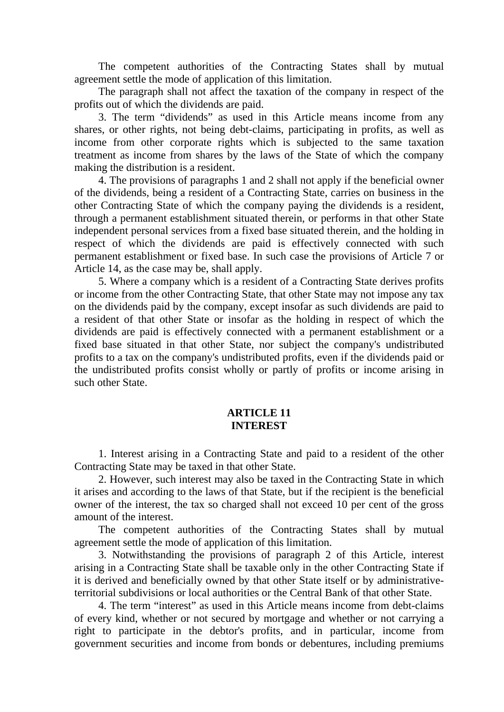The competent authorities of the Contracting States shall by mutual agreement settle the mode of application of this limitation.

The paragraph shall not affect the taxation of the company in respect of the profits out of which the dividends are paid.

3. The term "dividends" as used in this Article means income from any shares, or other rights, not being debt-claims, participating in profits, as well as income from other corporate rights which is subjected to the same taxation treatment as income from shares by the laws of the State of which the company making the distribution is a resident.

4. The provisions of paragraphs 1 and 2 shall not apply if the beneficial owner of the dividends, being a resident of a Contracting State, carries on business in the other Contracting State of which the company paying the dividends is a resident, through a permanent establishment situated therein, or performs in that other State independent personal services from a fixed base situated therein, and the holding in respect of which the dividends are paid is effectively connected with such permanent establishment or fixed base. In such case the provisions of Article 7 or Article 14, as the case may be, shall apply.

5. Where a company which is a resident of a Contracting State derives profits or income from the other Contracting State, that other State may not impose any tax on the dividends paid by the company, except insofar as such dividends are paid to a resident of that other State or insofar as the holding in respect of which the dividends are paid is effectively connected with a permanent establishment or a fixed base situated in that other State, nor subject the company's undistributed profits to a tax on the company's undistributed profits, even if the dividends paid or the undistributed profits consist wholly or partly of profits or income arising in such other State.

#### **ARTICLE 11 INTEREST**

1. Interest arising in a Contracting State and paid to a resident of the other Contracting State may be taxed in that other State.

2. However, such interest may also be taxed in the Contracting State in which it arises and according to the laws of that State, but if the recipient is the beneficial owner of the interest, the tax so charged shall not exceed 10 per cent of the gross amount of the interest.

The competent authorities of the Contracting States shall by mutual agreement settle the mode of application of this limitation.

3. Notwithstanding the provisions of paragraph 2 of this Article, interest arising in a Contracting State shall be taxable only in the other Contracting State if it is derived and beneficially owned by that other State itself or by administrativeterritorial subdivisions or local authorities or the Central Bank of that other State.

4. The term "interest" as used in this Article means income from debt-claims of every kind, whether or not secured by mortgage and whether or not carrying a right to participate in the debtor's profits, and in particular, income from government securities and income from bonds or debentures, including premiums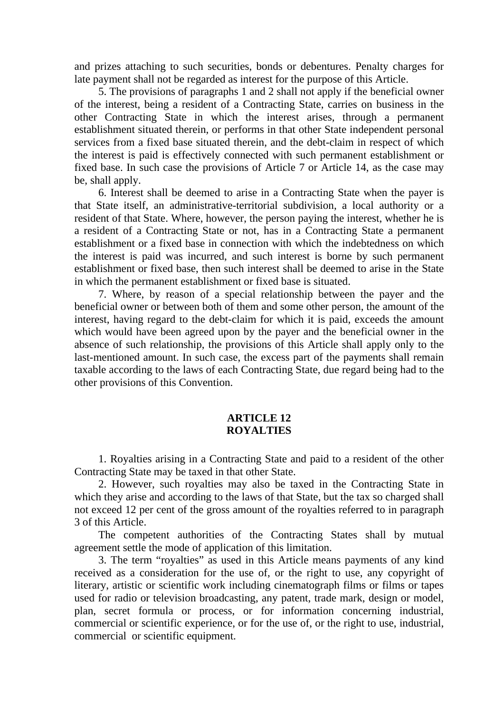and prizes attaching to such securities, bonds or debentures. Penalty charges for late payment shall not be regarded as interest for the purpose of this Article.

5. The provisions of paragraphs 1 and 2 shall not apply if the beneficial owner of the interest, being a resident of a Contracting State, carries on business in the other Contracting State in which the interest arises, through a permanent establishment situated therein, or performs in that other State independent personal services from a fixed base situated therein, and the debt-claim in respect of which the interest is paid is effectively connected with such permanent establishment or fixed base. In such case the provisions of Article 7 or Article 14, as the case may be, shall apply.

6. Interest shall be deemed to arise in a Contracting State when the payer is that State itself, an administrative-territorial subdivision, a local authority or a resident of that State. Where, however, the person paying the interest, whether he is a resident of a Contracting State or not, has in a Contracting State a permanent establishment or a fixed base in connection with which the indebtedness on which the interest is paid was incurred, and such interest is borne by such permanent establishment or fixed base, then such interest shall be deemed to arise in the State in which the permanent establishment or fixed base is situated.

7. Where, by reason of a special relationship between the payer and the beneficial owner or between both of them and some other person, the amount of the interest, having regard to the debt-claim for which it is paid, exceeds the amount which would have been agreed upon by the payer and the beneficial owner in the absence of such relationship, the provisions of this Article shall apply only to the last-mentioned amount. In such case, the excess part of the payments shall remain taxable according to the laws of each Contracting State, due regard being had to the other provisions of this Convention.

#### **ARTICLE 12 ROYALTIES**

1. Royalties arising in a Contracting State and paid to a resident of the other Contracting State may be taxed in that other State.

2. However, such royalties may also be taxed in the Contracting State in which they arise and according to the laws of that State, but the tax so charged shall not exceed 12 per cent of the gross amount of the royalties referred to in paragraph 3 of this Article.

The competent authorities of the Contracting States shall by mutual agreement settle the mode of application of this limitation.

3. The term "royalties" as used in this Article means payments of any kind received as a consideration for the use of, or the right to use, any copyright of literary, artistic or scientific work including cinematograph films or films or tapes used for radio or television broadcasting, any patent, trade mark, design or model, plan, secret formula or process, or for information concerning industrial, commercial or scientific experience, or for the use of, or the right to use, industrial, commercial or scientific equipment.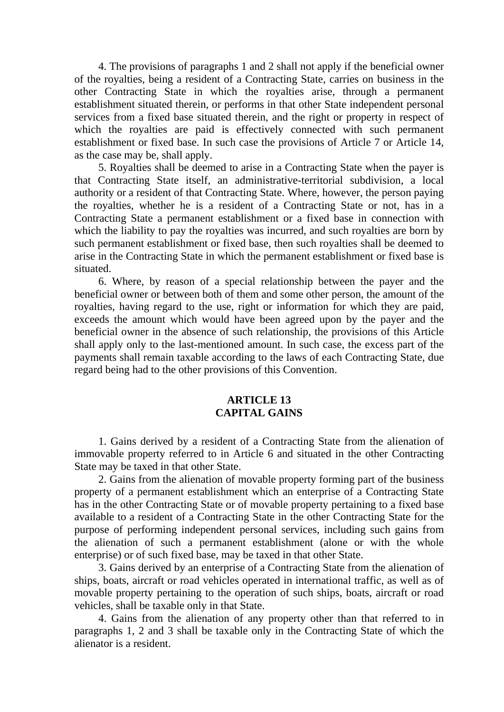4. The provisions of paragraphs 1 and 2 shall not apply if the beneficial owner of the royalties, being a resident of a Contracting State, carries on business in the other Contracting State in which the royalties arise, through a permanent establishment situated therein, or performs in that other State independent personal services from a fixed base situated therein, and the right or property in respect of which the royalties are paid is effectively connected with such permanent establishment or fixed base. In such case the provisions of Article 7 or Article 14, as the case may be, shall apply.

5. Royalties shall be deemed to arise in a Contracting State when the payer is that Contracting State itself, an administrative-territorial subdivision, a local authority or a resident of that Contracting State. Where, however, the person paying the royalties, whether he is a resident of a Contracting State or not, has in a Contracting State a permanent establishment or a fixed base in connection with which the liability to pay the royalties was incurred, and such royalties are born by such permanent establishment or fixed base, then such royalties shall be deemed to arise in the Contracting State in which the permanent establishment or fixed base is situated.

6. Where, by reason of a special relationship between the payer and the beneficial owner or between both of them and some other person, the amount of the royalties, having regard to the use, right or information for which they are paid, exceeds the amount which would have been agreed upon by the payer and the beneficial owner in the absence of such relationship, the provisions of this Article shall apply only to the last-mentioned amount. In such case, the excess part of the payments shall remain taxable according to the laws of each Contracting State, due regard being had to the other provisions of this Convention.

## **ARTICLE 13 CAPITAL GAINS**

1. Gains derived by a resident of a Contracting State from the alienation of immovable property referred to in Article 6 and situated in the other Contracting State may be taxed in that other State.

2. Gains from the alienation of movable property forming part of the business property of a permanent establishment which an enterprise of a Contracting State has in the other Contracting State or of movable property pertaining to a fixed base available to a resident of a Contracting State in the other Contracting State for the purpose of performing independent personal services, including such gains from the alienation of such a permanent establishment (alone or with the whole enterprise) or of such fixed base, may be taxed in that other State.

3. Gains derived by an enterprise of a Contracting State from the alienation of ships, boats, aircraft or road vehicles operated in international traffic, as well as of movable property pertaining to the operation of such ships, boats, aircraft or road vehicles, shall be taxable only in that State.

4. Gains from the alienation of any property other than that referred to in paragraphs 1, 2 and 3 shall be taxable only in the Contracting State of which the alienator is a resident.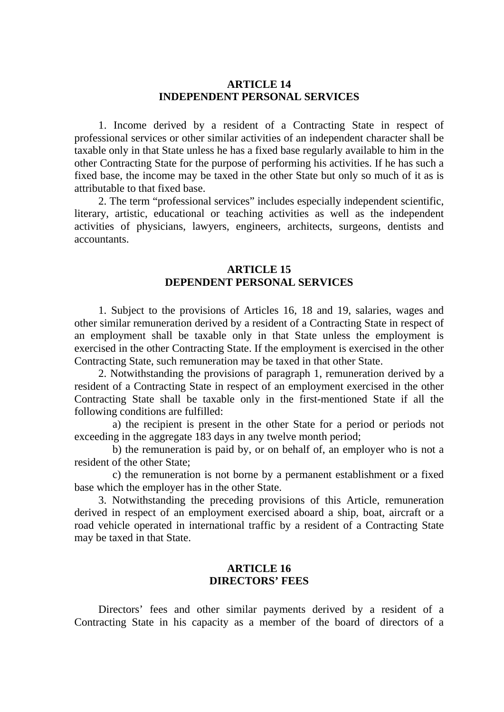#### **ARTICLE 14 INDEPENDENT PERSONAL SERVICES**

1. Income derived by a resident of a Contracting State in respect of professional services or other similar activities of an independent character shall be taxable only in that State unless he has a fixed base regularly available to him in the other Contracting State for the purpose of performing his activities. If he has such a fixed base, the income may be taxed in the other State but only so much of it as is attributable to that fixed base.

2. The term "professional services" includes especially independent scientific, literary, artistic, educational or teaching activities as well as the independent activities of physicians, lawyers, engineers, architects, surgeons, dentists and accountants.

#### **ARTICLE 15 DEPENDENT PERSONAL SERVICES**

1. Subject to the provisions of Articles 16, 18 and 19, salaries, wages and other similar remuneration derived by a resident of a Contracting State in respect of an employment shall be taxable only in that State unless the employment is exercised in the other Contracting State. If the employment is exercised in the other Contracting State, such remuneration may be taxed in that other State.

2. Notwithstanding the provisions of paragraph 1, remuneration derived by a resident of a Contracting State in respect of an employment exercised in the other Contracting State shall be taxable only in the first-mentioned State if all the following conditions are fulfilled:

a) the recipient is present in the other State for a period or periods not exceeding in the aggregate 183 days in any twelve month period;

b) the remuneration is paid by, or on behalf of, an employer who is not a resident of the other State;

c) the remuneration is not borne by a permanent establishment or a fixed base which the employer has in the other State.

3. Notwithstanding the preceding provisions of this Article, remuneration derived in respect of an employment exercised aboard a ship, boat, aircraft or a road vehicle operated in international traffic by a resident of a Contracting State may be taxed in that State.

# **ARTICLE 16 DIRECTORS' FEES**

Directors' fees and other similar payments derived by a resident of a Contracting State in his capacity as a member of the board of directors of a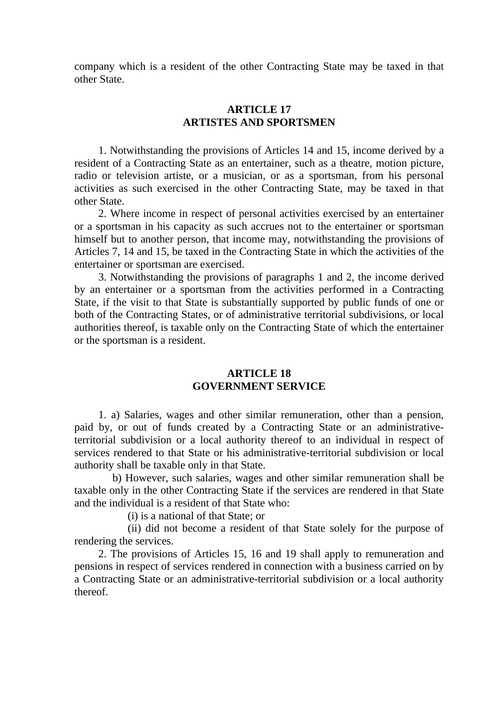company which is a resident of the other Contracting State may be taxed in that other State.

# **ARTICLE 17 ARTISTES AND SPORTSMEN**

1. Notwithstanding the provisions of Articles 14 and 15, income derived by a resident of a Contracting State as an entertainer, such as a theatre, motion picture, radio or television artiste, or a musician, or as a sportsman, from his personal activities as such exercised in the other Contracting State, may be taxed in that other State.

2. Where income in respect of personal activities exercised by an entertainer or a sportsman in his capacity as such accrues not to the entertainer or sportsman himself but to another person, that income may, notwithstanding the provisions of Articles 7, 14 and 15, be taxed in the Contracting State in which the activities of the entertainer or sportsman are exercised.

3. Notwithstanding the provisions of paragraphs 1 and 2, the income derived by an entertainer or a sportsman from the activities performed in a Contracting State, if the visit to that State is substantially supported by public funds of one or both of the Contracting States, or of administrative territorial subdivisions, or local authorities thereof, is taxable only on the Contracting State of which the entertainer or the sportsman is a resident.

#### **ARTICLE 18 GOVERNMENT SERVICE**

1. a) Salaries, wages and other similar remuneration, other than a pension, paid by, or out of funds created by a Contracting State or an administrativeterritorial subdivision or a local authority thereof to an individual in respect of services rendered to that State or his administrative-territorial subdivision or local authority shall be taxable only in that State.

b) However, such salaries, wages and other similar remuneration shall be taxable only in the other Contracting State if the services are rendered in that State and the individual is a resident of that State who:

(i) is a national of that State; or

(ii) did not become a resident of that State solely for the purpose of rendering the services.

2. The provisions of Articles 15, 16 and 19 shall apply to remuneration and pensions in respect of services rendered in connection with a business carried on by a Contracting State or an administrative-territorial subdivision or a local authority thereof.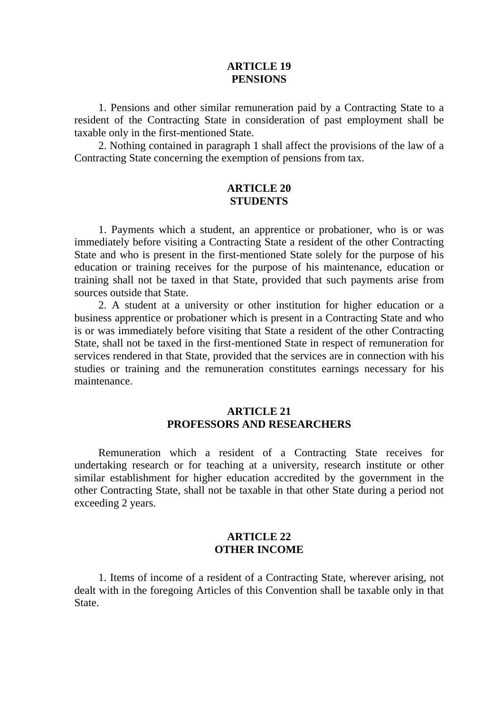#### **ARTICLE 19 PENSIONS**

1. Pensions and other similar remuneration paid by a Contracting State to a resident of the Contracting State in consideration of past employment shall be taxable only in the first-mentioned State.

2. Nothing contained in paragraph 1 shall affect the provisions of the law of a Contracting State concerning the exemption of pensions from tax.

## **ARTICLE 20 STUDENTS**

1. Payments which a student, an apprentice or probationer, who is or was immediately before visiting a Contracting State a resident of the other Contracting State and who is present in the first-mentioned State solely for the purpose of his education or training receives for the purpose of his maintenance, education or training shall not be taxed in that State, provided that such payments arise from sources outside that State.

2. A student at a university or other institution for higher education or a business apprentice or probationer which is present in a Contracting State and who is or was immediately before visiting that State a resident of the other Contracting State, shall not be taxed in the first-mentioned State in respect of remuneration for services rendered in that State, provided that the services are in connection with his studies or training and the remuneration constitutes earnings necessary for his maintenance.

## **ARTICLE 21 PROFESSORS AND RESEARCHERS**

Remuneration which a resident of a Contracting State receives for undertaking research or for teaching at a university, research institute or other similar establishment for higher education accredited by the government in the other Contracting State, shall not be taxable in that other State during a period not exceeding 2 years.

# **ARTICLE 22 OTHER INCOME**

1. Items of income of a resident of a Contracting State, wherever arising, not dealt with in the foregoing Articles of this Convention shall be taxable only in that State.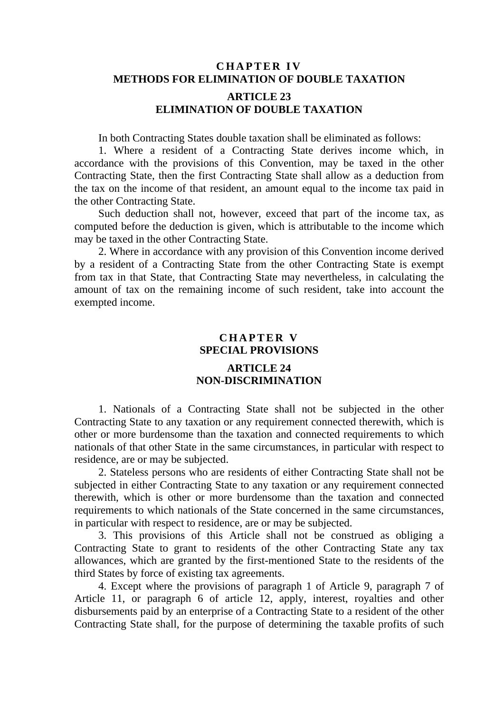# **CHAPTER IV METHODS FOR ELIMINATION OF DOUBLE TAXATION ARTICLE 23 ELIMINATION OF DOUBLE TAXATION**

In both Contracting States double taxation shall be eliminated as follows:

1. Where a resident of a Contracting State derives income which, in accordance with the provisions of this Convention, may be taxed in the other Contracting State, then the first Contracting State shall allow as a deduction from the tax on the income of that resident, an amount equal to the income tax paid in the other Contracting State.

Such deduction shall not, however, exceed that part of the income tax, as computed before the deduction is given, which is attributable to the income which may be taxed in the other Contracting State.

2. Where in accordance with any provision of this Convention income derived by a resident of a Contracting State from the other Contracting State is exempt from tax in that State, that Contracting State may nevertheless, in calculating the amount of tax on the remaining income of such resident, take into account the exempted income.

# **CHAPTER V SPECIAL PROVISIONS ARTICLE 24 NON-DISCRIMINATION**

1. Nationals of a Contracting State shall not be subjected in the other Contracting State to any taxation or any requirement connected therewith, which is other or more burdensome than the taxation and connected requirements to which nationals of that other State in the same circumstances, in particular with respect to residence, are or may be subjected.

2. Stateless persons who are residents of either Contracting State shall not be subjected in either Contracting State to any taxation or any requirement connected therewith, which is other or more burdensome than the taxation and connected requirements to which nationals of the State concerned in the same circumstances, in particular with respect to residence, are or may be subjected.

3. This provisions of this Article shall not be construed as obliging a Contracting State to grant to residents of the other Contracting State any tax allowances, which are granted by the first-mentioned State to the residents of the third States by force of existing tax agreements.

4. Except where the provisions of paragraph 1 of Article 9, paragraph 7 of Article 11, or paragraph 6 of article 12, apply, interest, royalties and other disbursements paid by an enterprise of a Contracting State to a resident of the other Contracting State shall, for the purpose of determining the taxable profits of such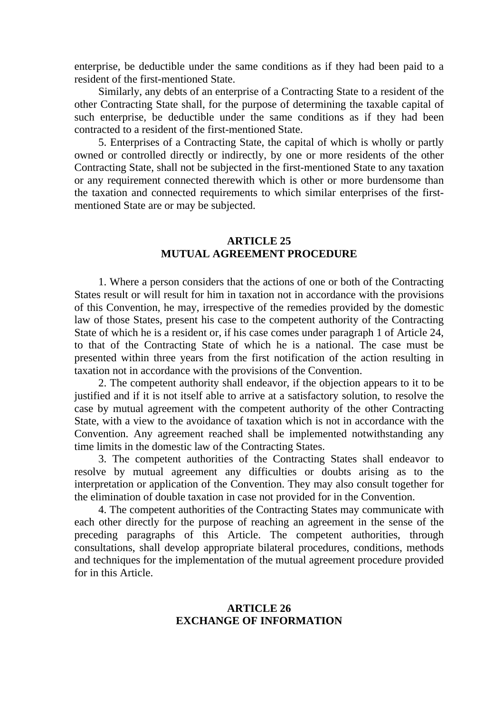enterprise, be deductible under the same conditions as if they had been paid to a resident of the first-mentioned State.

Similarly, any debts of an enterprise of a Contracting State to a resident of the other Contracting State shall, for the purpose of determining the taxable capital of such enterprise, be deductible under the same conditions as if they had been contracted to a resident of the first-mentioned State.

5. Enterprises of a Contracting State, the capital of which is wholly or partly owned or controlled directly or indirectly, by one or more residents of the other Contracting State, shall not be subjected in the first-mentioned State to any taxation or any requirement connected therewith which is other or more burdensome than the taxation and connected requirements to which similar enterprises of the firstmentioned State are or may be subjected.

# **ARTICLE 25 MUTUAL AGREEMENT PROCEDURE**

1. Where a person considers that the actions of one or both of the Contracting States result or will result for him in taxation not in accordance with the provisions of this Convention, he may, irrespective of the remedies provided by the domestic law of those States, present his case to the competent authority of the Contracting State of which he is a resident or, if his case comes under paragraph 1 of Article 24, to that of the Contracting State of which he is a national. The case must be presented within three years from the first notification of the action resulting in taxation not in accordance with the provisions of the Convention.

2. The competent authority shall endeavor, if the objection appears to it to be justified and if it is not itself able to arrive at a satisfactory solution, to resolve the case by mutual agreement with the competent authority of the other Contracting State, with a view to the avoidance of taxation which is not in accordance with the Convention. Any agreement reached shall be implemented notwithstanding any time limits in the domestic law of the Contracting States.

3. The competent authorities of the Contracting States shall endeavor to resolve by mutual agreement any difficulties or doubts arising as to the interpretation or application of the Convention. They may also consult together for the elimination of double taxation in case not provided for in the Convention.

4. The competent authorities of the Contracting States may communicate with each other directly for the purpose of reaching an agreement in the sense of the preceding paragraphs of this Article. The competent authorities, through consultations, shall develop appropriate bilateral procedures, conditions, methods and techniques for the implementation of the mutual agreement procedure provided for in this Article.

# **ARTICLE 26 EXCHANGE OF INFORMATION**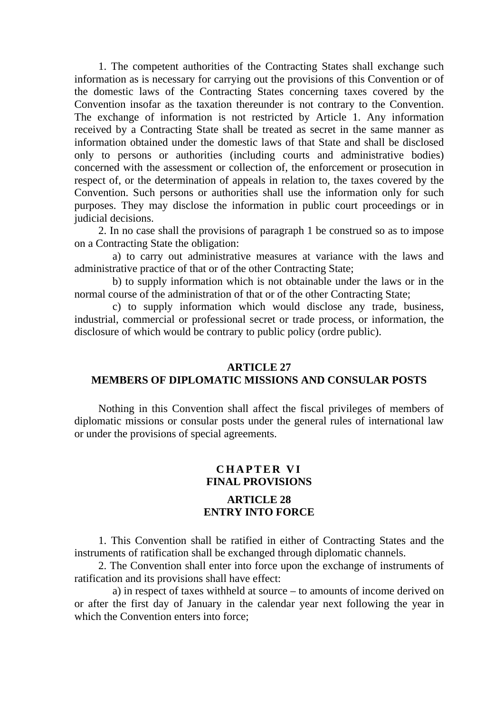1. The competent authorities of the Contracting States shall exchange such information as is necessary for carrying out the provisions of this Convention or of the domestic laws of the Contracting States concerning taxes covered by the Convention insofar as the taxation thereunder is not contrary to the Convention. The exchange of information is not restricted by Article 1. Any information received by a Contracting State shall be treated as secret in the same manner as information obtained under the domestic laws of that State and shall be disclosed only to persons or authorities (including courts and administrative bodies) concerned with the assessment or collection of, the enforcement or prosecution in respect of, or the determination of appeals in relation to, the taxes covered by the Convention. Such persons or authorities shall use the information only for such purposes. They may disclose the information in public court proceedings or in judicial decisions.

2. In no case shall the provisions of paragraph 1 be construed so as to impose on a Contracting State the obligation:

a) to carry out administrative measures at variance with the laws and administrative practice of that or of the other Contracting State;

b) to supply information which is not obtainable under the laws or in the normal course of the administration of that or of the other Contracting State;

c) to supply information which would disclose any trade, business, industrial, commercial or professional secret or trade process, or information, the disclosure of which would be contrary to public policy (ordre public).

# **ARTICLE 27 MEMBERS OF DIPLOMATIC MISSIONS AND CONSULAR POSTS**

Nothing in this Convention shall affect the fiscal privileges of members of diplomatic missions or consular posts under the general rules of international law or under the provisions of special agreements.

# **CHAPTER VI FINAL PROVISIONS ARTICLE 28 ENTRY INTO FORCE**

1. This Convention shall be ratified in either of Contracting States and the instruments of ratification shall be exchanged through diplomatic channels.

2. The Convention shall enter into force upon the exchange of instruments of ratification and its provisions shall have effect:

a) in respect of taxes withheld at source – to amounts of income derived on or after the first day of January in the calendar year next following the year in which the Convention enters into force: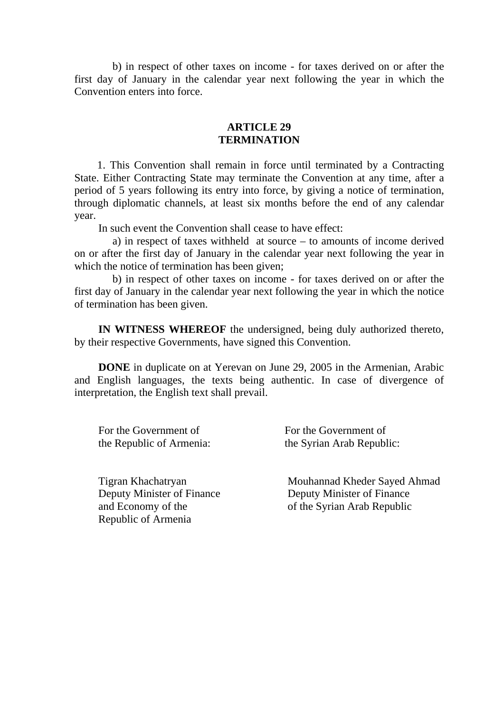b) in respect of other taxes on income - for taxes derived on or after the first day of January in the calendar year next following the year in which the Convention enters into force.

## **ARTICLE 29 TERMINATION**

1. This Convention shall remain in force until terminated by a Contracting State. Either Contracting State may terminate the Convention at any time, after a period of 5 years following its entry into force, by giving a notice of termination, through diplomatic channels, at least six months before the end of any calendar year.

In such event the Convention shall cease to have effect:

a) in respect of taxes withheld at source – to amounts of income derived on or after the first day of January in the calendar year next following the year in which the notice of termination has been given;

b) in respect of other taxes on income - for taxes derived on or after the first day of January in the calendar year next following the year in which the notice of termination has been given.

**IN WITNESS WHEREOF** the undersigned, being duly authorized thereto, by their respective Governments, have signed this Convention.

**DONE** in duplicate on at Yerevan on June 29, 2005 in the Armenian, Arabic and English languages, the texts being authentic. In case of divergence of interpretation, the English text shall prevail.

For the Government of For the Government of

the Republic of Armenia: the Syrian Arab Republic:

Tigran Khachatryan Deputy Minister of Finance and Economy of the Republic of Armenia

 Mouhannad Kheder Sayed Ahmad Deputy Minister of Finance of the Syrian Arab Republic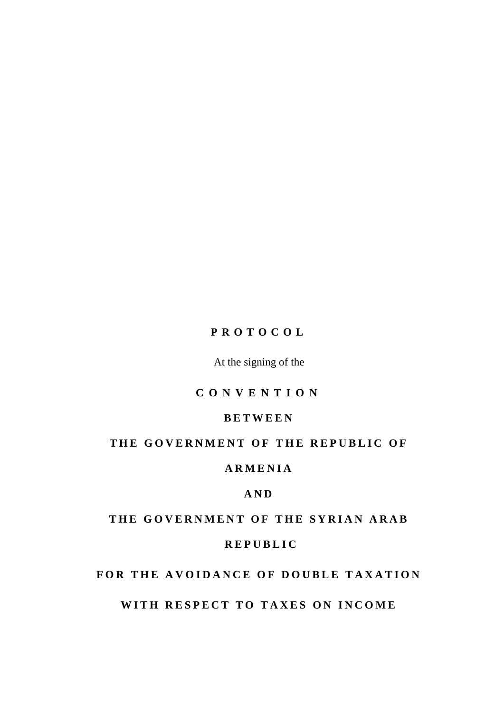# **PROTOCOL**

At the signing of the

# **CONVENTION**

# **BETWEEN**

# **THE GOVERNMENT OF THE REPUBLIC OF**

#### **ARMENIA**

#### **AND**

# **THE GOVERNMENT OF THE SYRIAN ARAB**

#### **REPUBLIC**

# **FOR THE AVOIDANCE OF DOUBLE TAXATION**

# **WITH RESPECT TO TAXES ON INCOME**